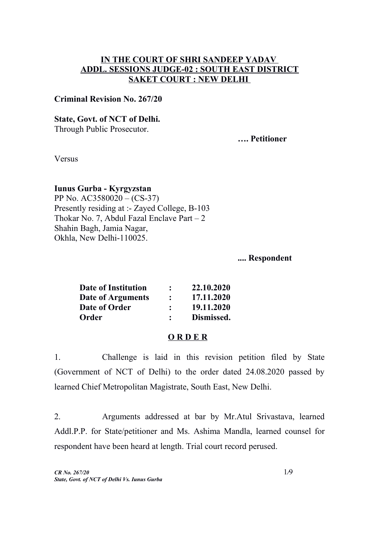## **IN THE COURT OF SHRI SANDEEP YADAV ADDL. SESSIONS JUDGE-02 : SOUTH EAST DISTRICT SAKET COURT : NEW DELHI**

### **Criminal Revision No. 267/20**

### **State, Govt. of NCT of Delhi.**

Through Public Prosecutor.

**…. Petitioner**

Versus

### **Iunus Gurba - Kyrgyzstan**

PP No. AC3580020 – (CS-37) Presently residing at :- Zayed College, B-103 Thokar No. 7, Abdul Fazal Enclave Part  $-2$ Shahin Bagh, Jamia Nagar, Okhla, New Delhi-110025.

**.... Respondent**

| Date of Institution | $\ddot{\cdot}$ | 22.10.2020 |
|---------------------|----------------|------------|
| Date of Arguments   | $\ddot{\cdot}$ | 17.11.2020 |
| Date of Order       | $\ddot{\cdot}$ | 19.11.2020 |
| Order               |                | Dismissed. |

#### **O R D E R**

1. Challenge is laid in this revision petition filed by State (Government of NCT of Delhi) to the order dated 24.08.2020 passed by learned Chief Metropolitan Magistrate, South East, New Delhi.

2. Arguments addressed at bar by Mr.Atul Srivastava, learned Addl.P.P. for State/petitioner and Ms. Ashima Mandla, learned counsel for respondent have been heard at length. Trial court record perused.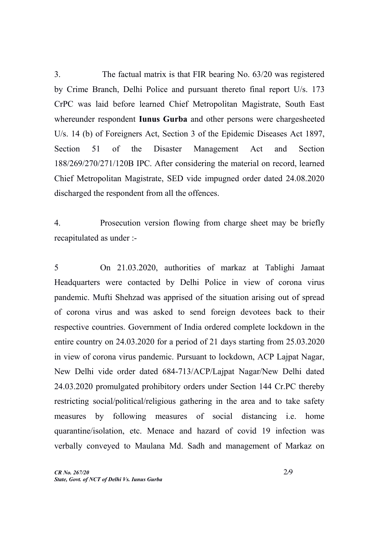3. The factual matrix is that FIR bearing No. 63/20 was registered by Crime Branch, Delhi Police and pursuant thereto final report U/s. 173 CrPC was laid before learned Chief Metropolitan Magistrate, South East whereunder respondent **Iunus Gurba** and other persons were chargesheeted U/s. 14 (b) of Foreigners Act, Section 3 of the Epidemic Diseases Act 1897, Section 51 of the Disaster Management Act and Section 188/269/270/271/120B IPC. After considering the material on record, learned Chief Metropolitan Magistrate, SED vide impugned order dated 24.08.2020 discharged the respondent from all the offences.

4. Prosecution version flowing from charge sheet may be briefly recapitulated as under :-

5 On 21.03.2020, authorities of markaz at Tablighi Jamaat Headquarters were contacted by Delhi Police in view of corona virus pandemic. Mufti Shehzad was apprised of the situation arising out of spread of corona virus and was asked to send foreign devotees back to their respective countries. Government of India ordered complete lockdown in the entire country on 24.03.2020 for a period of 21 days starting from 25.03.2020 in view of corona virus pandemic. Pursuant to lockdown, ACP Lajpat Nagar, New Delhi vide order dated 684-713/ACP/Lajpat Nagar/New Delhi dated 24.03.2020 promulgated prohibitory orders under Section 144 Cr.PC thereby restricting social/political/religious gathering in the area and to take safety measures by following measures of social distancing i.e. home quarantine/isolation, etc. Menace and hazard of covid 19 infection was verbally conveyed to Maulana Md. Sadh and management of Markaz on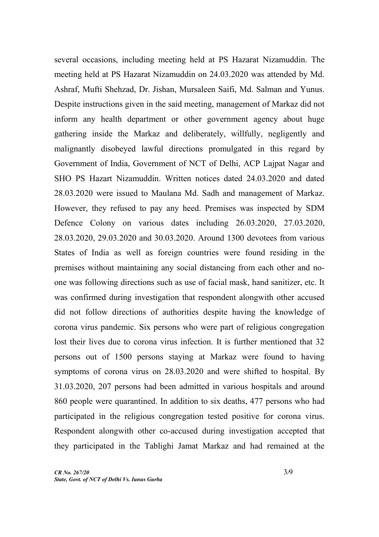several occasions, including meeting held at PS Hazarat Nizamuddin. The meeting held at PS Hazarat Nizamuddin on 24.03.2020 was attended by Md. Ashraf, Mufti Shehzad, Dr. Jishan, Mursaleen Saifi, Md. Salman and Yunus. Despite instructions given in the said meeting, management of Markaz did not inform any health department or other government agency about huge gathering inside the Markaz and deliberately, willfully, negligently and malignantly disobeyed lawful directions promulgated in this regard by Government of India, Government of NCT of Delhi, ACP Lajpat Nagar and SHO PS Hazart Nizamuddin. Written notices dated 24.03.2020 and dated 28.03.2020 were issued to Maulana Md. Sadh and management of Markaz. However, they refused to pay any heed. Premises was inspected by SDM Defence Colony on various dates including 26.03.2020, 27.03.2020, 28.03.2020, 29.03.2020 and 30.03.2020. Around 1300 devotees from various States of India as well as foreign countries were found residing in the premises without maintaining any social distancing from each other and noone was following directions such as use of facial mask, hand sanitizer, etc. It was confirmed during investigation that respondent alongwith other accused did not follow directions of authorities despite having the knowledge of corona virus pandemic. Six persons who were part of religious congregation lost their lives due to corona virus infection. It is further mentioned that 32 persons out of 1500 persons staying at Markaz were found to having symptoms of corona virus on 28.03.2020 and were shifted to hospital. By 31.03.2020, 207 persons had been admitted in various hospitals and around 860 people were quarantined. In addition to six deaths, 477 persons who had participated in the religious congregation tested positive for corona virus. Respondent alongwith other co-accused during investigation accepted that they participated in the Tablighi Jamat Markaz and had remained at the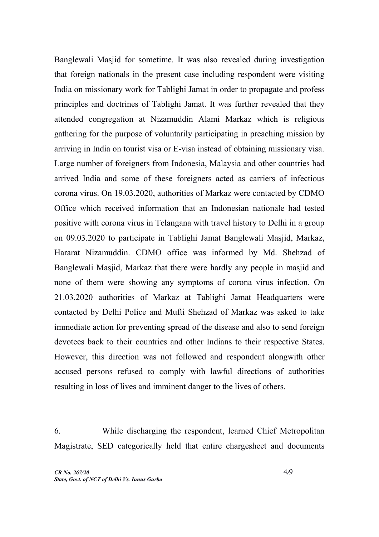Banglewali Masjid for sometime. It was also revealed during investigation that foreign nationals in the present case including respondent were visiting India on missionary work for Tablighi Jamat in order to propagate and profess principles and doctrines of Tablighi Jamat. It was further revealed that they attended congregation at Nizamuddin Alami Markaz which is religious gathering for the purpose of voluntarily participating in preaching mission by arriving in India on tourist visa or E-visa instead of obtaining missionary visa. Large number of foreigners from Indonesia, Malaysia and other countries had arrived India and some of these foreigners acted as carriers of infectious corona virus. On 19.03.2020, authorities of Markaz were contacted by CDMO Office which received information that an Indonesian nationale had tested positive with corona virus in Telangana with travel history to Delhi in a group on 09.03.2020 to participate in Tablighi Jamat Banglewali Masjid, Markaz, Hararat Nizamuddin. CDMO office was informed by Md. Shehzad of Banglewali Masjid, Markaz that there were hardly any people in masjid and none of them were showing any symptoms of corona virus infection. On 21.03.2020 authorities of Markaz at Tablighi Jamat Headquarters were contacted by Delhi Police and Mufti Shehzad of Markaz was asked to take immediate action for preventing spread of the disease and also to send foreign devotees back to their countries and other Indians to their respective States. However, this direction was not followed and respondent alongwith other accused persons refused to comply with lawful directions of authorities resulting in loss of lives and imminent danger to the lives of others.

6. While discharging the respondent, learned Chief Metropolitan Magistrate, SED categorically held that entire chargesheet and documents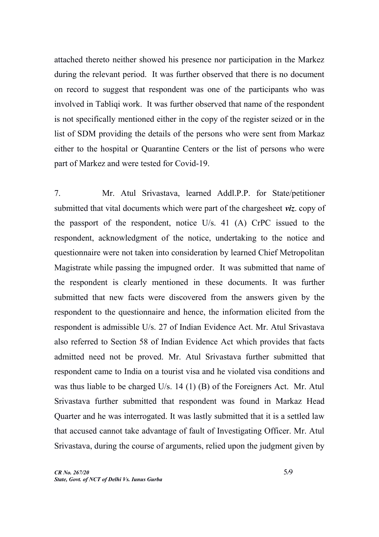attached thereto neither showed his presence nor participation in the Markez during the relevant period. It was further observed that there is no document on record to suggest that respondent was one of the participants who was involved in Tabliqi work. It was further observed that name of the respondent is not specifically mentioned either in the copy of the register seized or in the list of SDM providing the details of the persons who were sent from Markaz either to the hospital or Quarantine Centers or the list of persons who were part of Markez and were tested for Covid-19.

7. Mr. Atul Srivastava, learned Addl.P.P. for State/petitioner submitted that vital documents which were part of the chargesheet *viz*. copy of the passport of the respondent, notice U/s. 41 (A) CrPC issued to the respondent, acknowledgment of the notice, undertaking to the notice and questionnaire were not taken into consideration by learned Chief Metropolitan Magistrate while passing the impugned order. It was submitted that name of the respondent is clearly mentioned in these documents. It was further submitted that new facts were discovered from the answers given by the respondent to the questionnaire and hence, the information elicited from the respondent is admissible U/s. 27 of Indian Evidence Act. Mr. Atul Srivastava also referred to Section 58 of Indian Evidence Act which provides that facts admitted need not be proved. Mr. Atul Srivastava further submitted that respondent came to India on a tourist visa and he violated visa conditions and was thus liable to be charged U/s. 14 (1) (B) of the Foreigners Act. Mr. Atul Srivastava further submitted that respondent was found in Markaz Head Quarter and he was interrogated. It was lastly submitted that it is a settled law that accused cannot take advantage of fault of Investigating Officer. Mr. Atul Srivastava, during the course of arguments, relied upon the judgment given by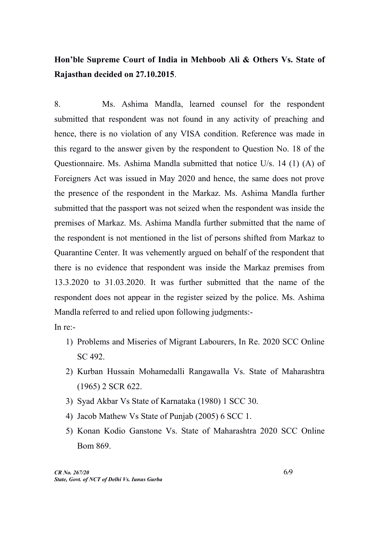# **Hon'ble Supreme Court of India in Mehboob Ali & Others Vs. State of Rajasthan decided on 27.10.2015**.

8. Ms. Ashima Mandla, learned counsel for the respondent submitted that respondent was not found in any activity of preaching and hence, there is no violation of any VISA condition. Reference was made in this regard to the answer given by the respondent to Question No. 18 of the Questionnaire. Ms. Ashima Mandla submitted that notice U/s. 14 (1) (A) of Foreigners Act was issued in May 2020 and hence, the same does not prove the presence of the respondent in the Markaz. Ms. Ashima Mandla further submitted that the passport was not seized when the respondent was inside the premises of Markaz. Ms. Ashima Mandla further submitted that the name of the respondent is not mentioned in the list of persons shifted from Markaz to Quarantine Center. It was vehemently argued on behalf of the respondent that there is no evidence that respondent was inside the Markaz premises from 13.3.2020 to 31.03.2020. It was further submitted that the name of the respondent does not appear in the register seized by the police. Ms. Ashima Mandla referred to and relied upon following judgments:-

In re:-

- 1) Problems and Miseries of Migrant Labourers, In Re. 2020 SCC Online SC 492.
- 2) Kurban Hussain Mohamedalli Rangawalla Vs. State of Maharashtra (1965) 2 SCR 622.
- 3) Syad Akbar Vs State of Karnataka (1980) 1 SCC 30.
- 4) Jacob Mathew Vs State of Punjab (2005) 6 SCC 1.
- 5) Konan Kodio Ganstone Vs. State of Maharashtra 2020 SCC Online Bom 869.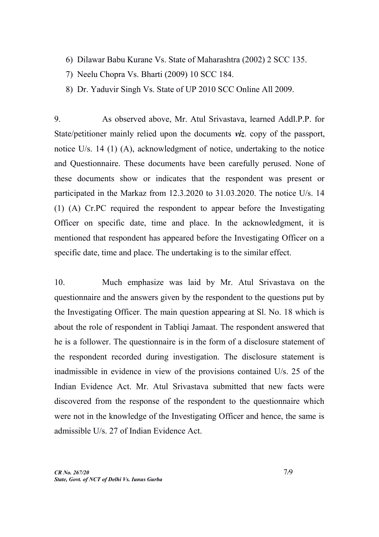- 6) Dilawar Babu Kurane Vs. State of Maharashtra (2002) 2 SCC 135.
- 7) Neelu Chopra Vs. Bharti (2009) 10 SCC 184.
- 8) Dr. Yaduvir Singh Vs. State of UP 2010 SCC Online All 2009.

9. As observed above, Mr. Atul Srivastava, learned Addl.P.P. for State/petitioner mainly relied upon the documents *viz*. copy of the passport, notice U/s. 14 (1) (A), acknowledgment of notice, undertaking to the notice and Questionnaire. These documents have been carefully perused. None of these documents show or indicates that the respondent was present or participated in the Markaz from 12.3.2020 to 31.03.2020. The notice U/s. 14 (1) (A) Cr.PC required the respondent to appear before the Investigating Officer on specific date, time and place. In the acknowledgment, it is mentioned that respondent has appeared before the Investigating Officer on a specific date, time and place. The undertaking is to the similar effect.

10. Much emphasize was laid by Mr. Atul Srivastava on the questionnaire and the answers given by the respondent to the questions put by the Investigating Officer. The main question appearing at Sl. No. 18 which is about the role of respondent in Tabliqi Jamaat. The respondent answered that he is a follower. The questionnaire is in the form of a disclosure statement of the respondent recorded during investigation. The disclosure statement is inadmissible in evidence in view of the provisions contained U/s. 25 of the Indian Evidence Act. Mr. Atul Srivastava submitted that new facts were discovered from the response of the respondent to the questionnaire which were not in the knowledge of the Investigating Officer and hence, the same is admissible U/s. 27 of Indian Evidence Act.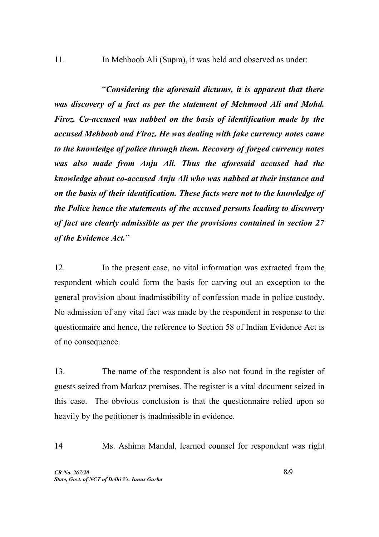11. In Mehboob Ali (Supra), it was held and observed as under:

"*Considering the aforesaid dictums, it is apparent that there was discovery of a fact as per the statement of Mehmood Ali and Mohd. Firoz. Co-accused was nabbed on the basis of identification made by the accused Mehboob and Firoz. He was dealing with fake currency notes came to the knowledge of police through them. Recovery of forged currency notes was also made from Anju Ali. Thus the aforesaid accused had the knowledge about co-accused Anju Ali who was nabbed at their instance and on the basis of their identification. These facts were not to the knowledge of the Police hence the statements of the accused persons leading to discovery of fact are clearly admissible as per the provisions contained in section 27 of the Evidence Act.***"**

12. In the present case, no vital information was extracted from the respondent which could form the basis for carving out an exception to the general provision about inadmissibility of confession made in police custody. No admission of any vital fact was made by the respondent in response to the questionnaire and hence, the reference to Section 58 of Indian Evidence Act is of no consequence.

13. The name of the respondent is also not found in the register of guests seized from Markaz premises. The register is a vital document seized in this case. The obvious conclusion is that the questionnaire relied upon so heavily by the petitioner is inadmissible in evidence.

14 Ms. Ashima Mandal, learned counsel for respondent was right